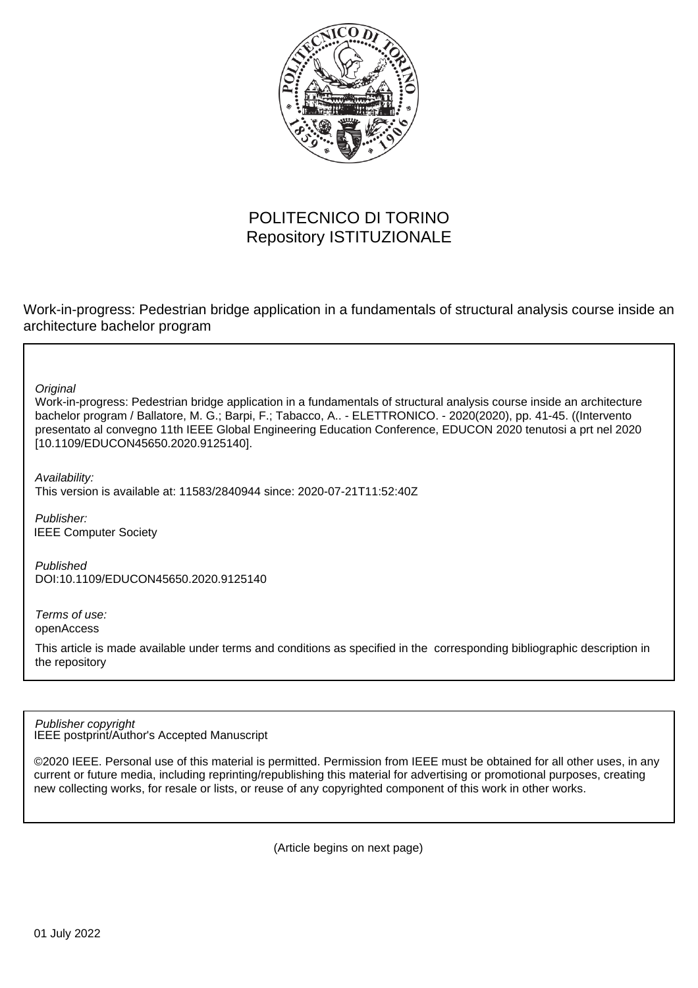

# POLITECNICO DI TORINO Repository ISTITUZIONALE

Work-in-progress: Pedestrian bridge application in a fundamentals of structural analysis course inside an architecture bachelor program

**Original** 

Work-in-progress: Pedestrian bridge application in a fundamentals of structural analysis course inside an architecture bachelor program / Ballatore, M. G.; Barpi, F.; Tabacco, A.. - ELETTRONICO. - 2020(2020), pp. 41-45. ((Intervento presentato al convegno 11th IEEE Global Engineering Education Conference, EDUCON 2020 tenutosi a prt nel 2020 [10.1109/EDUCON45650.2020.9125140].

Availability: This version is available at: 11583/2840944 since: 2020-07-21T11:52:40Z

Publisher: IEEE Computer Society

Published DOI:10.1109/EDUCON45650.2020.9125140

Terms of use: openAccess

This article is made available under terms and conditions as specified in the corresponding bibliographic description in the repository

IEEE postprint/Author's Accepted Manuscript Publisher copyright

©2020 IEEE. Personal use of this material is permitted. Permission from IEEE must be obtained for all other uses, in any current or future media, including reprinting/republishing this material for advertising or promotional purposes, creating new collecting works, for resale or lists, or reuse of any copyrighted component of this work in other works.

(Article begins on next page)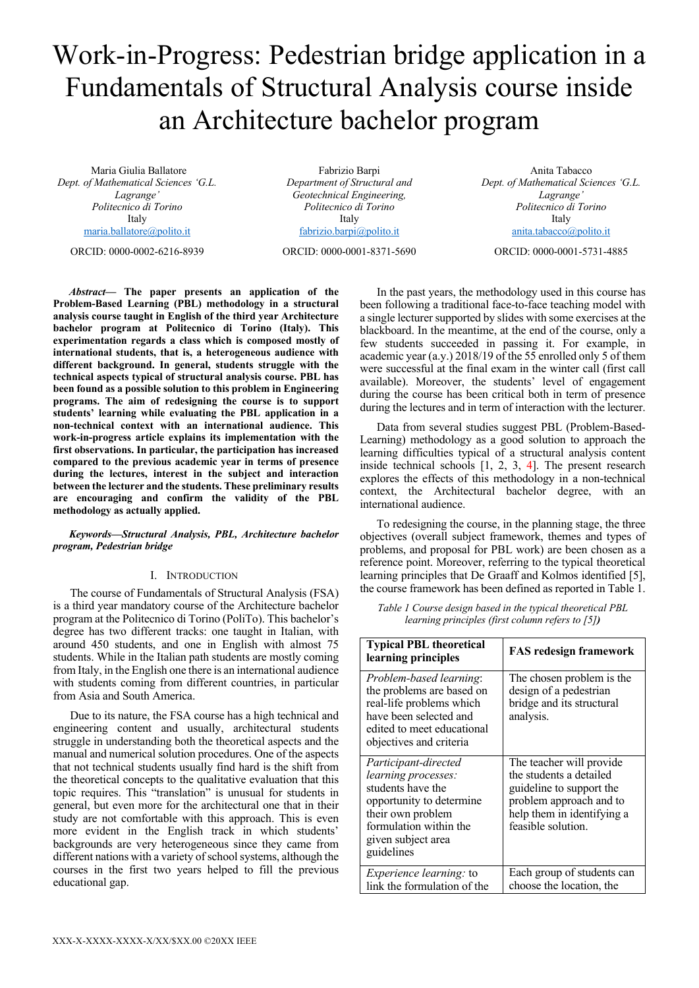# Work-in-Progress: Pedestrian bridge application in a Fundamentals of Structural Analysis course inside an Architecture bachelor program

Maria Giulia Ballatore *Dept. of Mathematical Sciences 'G.L. Lagrange' Politecnico di Torino* Italy maria.ballatore@polito.it

ORCID: 0000-0002-6216-8939

Fabrizio Barpi *Department of Structural and Geotechnical Engineering, Politecnico di Torino* Italy fabrizio.barpi@polito.it

ORCID: 0000-0001-8371-5690

Anita Tabacco *Dept. of Mathematical Sciences 'G.L. Lagrange' Politecnico di Torino* Italy anita.tabacco@polito.it

ORCID: 0000-0001-5731-4885

*Abstract***— The paper presents an application of the Problem-Based Learning (PBL) methodology in a structural analysis course taught in English of the third year Architecture bachelor program at Politecnico di Torino (Italy). This experimentation regards a class which is composed mostly of international students, that is, a heterogeneous audience with different background. In general, students struggle with the technical aspects typical of structural analysis course. PBL has been found as a possible solution to this problem in Engineering programs. The aim of redesigning the course is to support students' learning while evaluating the PBL application in a non-technical context with an international audience. This work-in-progress article explains its implementation with the first observations. In particular, the participation has increased compared to the previous academic year in terms of presence during the lectures, interest in the subject and interaction between the lecturer and the students. These preliminary results are encouraging and confirm the validity of the PBL methodology as actually applied.**

# *Keywords—Structural Analysis, PBL, Architecture bachelor program, Pedestrian bridge*

# I. INTRODUCTION

The course of Fundamentals of Structural Analysis (FSA) is a third year mandatory course of the Architecture bachelor program at the Politecnico di Torino (PoliTo). This bachelor's degree has two different tracks: one taught in Italian, with around 450 students, and one in English with almost 75 students. While in the Italian path students are mostly coming from Italy, in the English one there is an international audience with students coming from different countries, in particular from Asia and South America.

Due to its nature, the FSA course has a high technical and engineering content and usually, architectural students struggle in understanding both the theoretical aspects and the manual and numerical solution procedures. One of the aspects that not technical students usually find hard is the shift from the theoretical concepts to the qualitative evaluation that this topic requires. This "translation" is unusual for students in general, but even more for the architectural one that in their study are not comfortable with this approach. This is even more evident in the English track in which students' backgrounds are very heterogeneous since they came from different nations with a variety of school systems, although the courses in the first two years helped to fill the previous educational gap.

In the past years, the methodology used in this course has been following a traditional face-to-face teaching model with a single lecturer supported by slides with some exercises at the blackboard. In the meantime, at the end of the course, only a few students succeeded in passing it. For example, in academic year (a.y.) 2018/19 of the 55 enrolled only 5 of them were successful at the final exam in the winter call (first call available). Moreover, the students' level of engagement during the course has been critical both in term of presence during the lectures and in term of interaction with the lecturer.

Data from several studies suggest PBL (Problem-Based-Learning) methodology as a good solution to approach the learning difficulties typical of a structural analysis content inside technical schools [1, 2, 3, 4]. The present research explores the effects of this methodology in a non-technical context, the Architectural bachelor degree, with an international audience.

To redesigning the course, in the planning stage, the three objectives (overall subject framework, themes and types of problems, and proposal for PBL work) are been chosen as a reference point. Moreover, referring to the typical theoretical learning principles that De Graaff and Kolmos identified [5], the course framework has been defined as reported in Table 1.

*Table 1 Course design based in the typical theoretical PBL learning principles (first column refers to [5])*

| <b>Typical PBL theoretical</b><br>learning principles                                                                                                                                  | <b>FAS redesign framework</b>                                                                                                                                  |
|----------------------------------------------------------------------------------------------------------------------------------------------------------------------------------------|----------------------------------------------------------------------------------------------------------------------------------------------------------------|
| Problem-based learning:<br>the problems are based on<br>real-life problems which<br>have been selected and<br>edited to meet educational<br>objectives and criteria                    | The chosen problem is the<br>design of a pedestrian<br>bridge and its structural<br>analysis.                                                                  |
| Participant-directed<br><i>learning processes:</i><br>students have the<br>opportunity to determine<br>their own problem<br>formulation within the<br>given subject area<br>guidelines | The teacher will provide<br>the students a detailed<br>guideline to support the<br>problem approach and to<br>help them in identifying a<br>feasible solution. |
| <i>Experience learning: to</i><br>link the formulation of the                                                                                                                          | Each group of students can<br>choose the location, the                                                                                                         |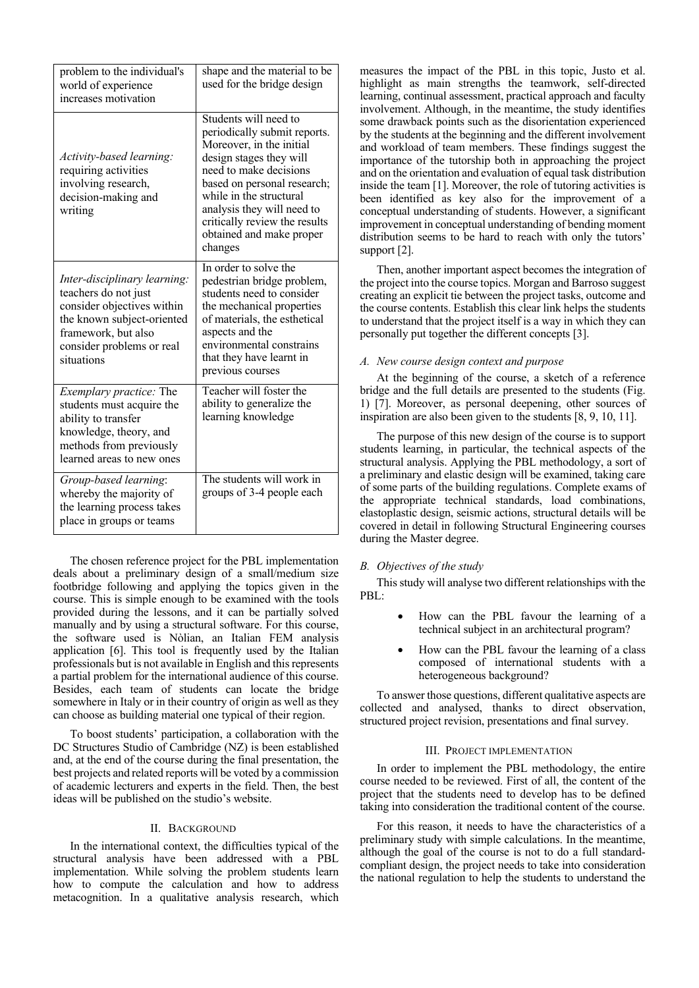| problem to the individual's<br>world of experience<br>increases motivation                                                                                                         | shape and the material to be<br>used for the bridge design                                                                                                                                                                                                                                             |
|------------------------------------------------------------------------------------------------------------------------------------------------------------------------------------|--------------------------------------------------------------------------------------------------------------------------------------------------------------------------------------------------------------------------------------------------------------------------------------------------------|
| Activity-based learning:<br>requiring activities<br>involving research,<br>decision-making and<br>writing                                                                          | Students will need to<br>periodically submit reports.<br>Moreover, in the initial<br>design stages they will<br>need to make decisions<br>based on personal research;<br>while in the structural<br>analysis they will need to<br>critically review the results<br>obtained and make proper<br>changes |
| Inter-disciplinary learning:<br>teachers do not just<br>consider objectives within<br>the known subject-oriented<br>framework, but also<br>consider problems or real<br>situations | In order to solve the<br>pedestrian bridge problem,<br>students need to consider<br>the mechanical properties<br>of materials, the esthetical<br>aspects and the<br>environmental constrains<br>that they have learnt in<br>previous courses                                                           |
| Exemplary practice: The<br>students must acquire the<br>ability to transfer<br>knowledge, theory, and<br>methods from previously<br>learned areas to new ones                      | Teacher will foster the<br>ability to generalize the<br>learning knowledge                                                                                                                                                                                                                             |
| Group-based learning:<br>whereby the majority of<br>the learning process takes<br>place in groups or teams                                                                         | The students will work in<br>groups of 3-4 people each                                                                                                                                                                                                                                                 |

The chosen reference project for the PBL implementation deals about a preliminary design of a small/medium size footbridge following and applying the topics given in the course. This is simple enough to be examined with the tools provided during the lessons, and it can be partially solved manually and by using a structural software. For this course, the software used is Nòlian, an Italian FEM analysis application [6]. This tool is frequently used by the Italian professionals but is not available in English and this represents a partial problem for the international audience of this course. Besides, each team of students can locate the bridge somewhere in Italy or in their country of origin as well as they can choose as building material one typical of their region.

To boost students' participation, a collaboration with the DC Structures Studio of Cambridge (NZ) is been established and, at the end of the course during the final presentation, the best projects and related reports will be voted by a commission of academic lecturers and experts in the field. Then, the best ideas will be published on the studio's website.

# II. BACKGROUND

In the international context, the difficulties typical of the structural analysis have been addressed with a PBL implementation. While solving the problem students learn how to compute the calculation and how to address metacognition. In a qualitative analysis research, which

measures the impact of the PBL in this topic, Justo et al. highlight as main strengths the teamwork, self-directed learning, continual assessment, practical approach and faculty involvement. Although, in the meantime, the study identifies some drawback points such as the disorientation experienced by the students at the beginning and the different involvement and workload of team members. These findings suggest the importance of the tutorship both in approaching the project and on the orientation and evaluation of equal task distribution inside the team [1]. Moreover, the role of tutoring activities is been identified as key also for the improvement of a conceptual understanding of students. However, a significant improvement in conceptual understanding of bending moment distribution seems to be hard to reach with only the tutors' support [2].

Then, another important aspect becomes the integration of the project into the course topics. Morgan and Barroso suggest creating an explicit tie between the project tasks, outcome and the course contents. Establish this clear link helps the students to understand that the project itself is a way in which they can personally put together the different concepts [3].

#### *A. New course design context and purpose*

At the beginning of the course, a sketch of a reference bridge and the full details are presented to the students (Fig. 1) [7]. Moreover, as personal deepening, other sources of inspiration are also been given to the students [8, 9, 10, 11].

The purpose of this new design of the course is to support students learning, in particular, the technical aspects of the structural analysis. Applying the PBL methodology, a sort of a preliminary and elastic design will be examined, taking care of some parts of the building regulations. Complete exams of the appropriate technical standards, load combinations, elastoplastic design, seismic actions, structural details will be covered in detail in following Structural Engineering courses during the Master degree.

#### *B. Objectives of the study*

This study will analyse two different relationships with the PBL:

- How can the PBL favour the learning of a technical subject in an architectural program?
- How can the PBL favour the learning of a class composed of international students with a heterogeneous background?

To answer those questions, different qualitative aspects are collected and analysed, thanks to direct observation, structured project revision, presentations and final survey.

# III. PROJECT IMPLEMENTATION

In order to implement the PBL methodology, the entire course needed to be reviewed. First of all, the content of the project that the students need to develop has to be defined taking into consideration the traditional content of the course.

For this reason, it needs to have the characteristics of a preliminary study with simple calculations. In the meantime, although the goal of the course is not to do a full standardcompliant design, the project needs to take into consideration the national regulation to help the students to understand the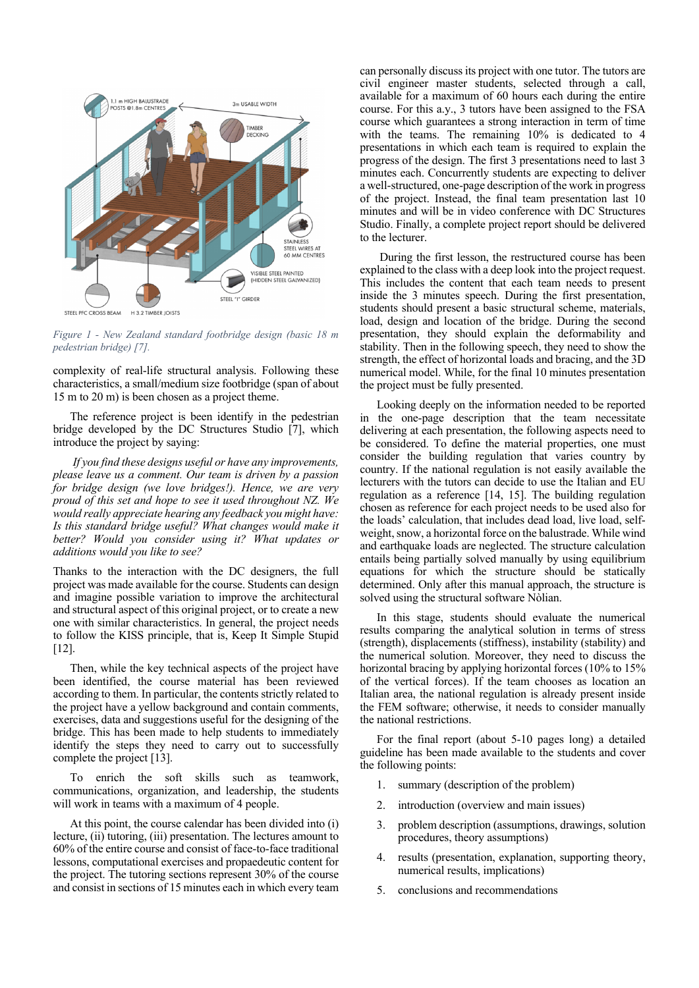

*Figure 1 - New Zealand standard footbridge design (basic 18 m pedestrian bridge) [7].*

complexity of real-life structural analysis. Following these characteristics, a small/medium size footbridge (span of about 15 m to 20 m) is been chosen as a project theme.

The reference project is been identify in the pedestrian bridge developed by the DC Structures Studio [7], which introduce the project by saying:

*If you find these designs useful or have any improvements, please leave us a comment. Our team is driven by a passion for bridge design (we love bridges!). Hence, we are very proud of this set and hope to see it used throughout NZ. We would really appreciate hearing any feedback you might have: Is this standard bridge useful? What changes would make it better? Would you consider using it? What updates or additions would you like to see?*

Thanks to the interaction with the DC designers, the full project was made available for the course. Students can design and imagine possible variation to improve the architectural and structural aspect of this original project, or to create a new one with similar characteristics. In general, the project needs to follow the KISS principle, that is, Keep It Simple Stupid [12].

Then, while the key technical aspects of the project have been identified, the course material has been reviewed according to them. In particular, the contents strictly related to the project have a yellow background and contain comments, exercises, data and suggestions useful for the designing of the bridge. This has been made to help students to immediately identify the steps they need to carry out to successfully complete the project [13].

To enrich the soft skills such as teamwork, communications, organization, and leadership, the students will work in teams with a maximum of 4 people.

At this point, the course calendar has been divided into (i) lecture, (ii) tutoring, (iii) presentation. The lectures amount to 60% of the entire course and consist of face-to-face traditional lessons, computational exercises and propaedeutic content for the project. The tutoring sections represent 30% of the course and consist in sections of 15 minutes each in which every team can personally discuss its project with one tutor. The tutors are civil engineer master students, selected through a call, available for a maximum of 60 hours each during the entire course. For this a.y., 3 tutors have been assigned to the FSA course which guarantees a strong interaction in term of time with the teams. The remaining 10% is dedicated to 4 presentations in which each team is required to explain the progress of the design. The first 3 presentations need to last 3 minutes each. Concurrently students are expecting to deliver a well-structured, one-page description of the work in progress of the project. Instead, the final team presentation last 10 minutes and will be in video conference with DC Structures Studio. Finally, a complete project report should be delivered to the lecturer.

During the first lesson, the restructured course has been explained to the class with a deep look into the project request. This includes the content that each team needs to present inside the 3 minutes speech. During the first presentation, students should present a basic structural scheme, materials, load, design and location of the bridge. During the second presentation, they should explain the deformability and stability. Then in the following speech, they need to show the strength, the effect of horizontal loads and bracing, and the 3D numerical model. While, for the final 10 minutes presentation the project must be fully presented.

Looking deeply on the information needed to be reported in the one-page description that the team necessitate delivering at each presentation, the following aspects need to be considered. To define the material properties, one must consider the building regulation that varies country by country. If the national regulation is not easily available the lecturers with the tutors can decide to use the Italian and EU regulation as a reference [14, 15]. The building regulation chosen as reference for each project needs to be used also for the loads' calculation, that includes dead load, live load, selfweight, snow, a horizontal force on the balustrade. While wind and earthquake loads are neglected. The structure calculation entails being partially solved manually by using equilibrium equations for which the structure should be statically determined. Only after this manual approach, the structure is solved using the structural software Nòlian.

In this stage, students should evaluate the numerical results comparing the analytical solution in terms of stress (strength), displacements (stiffness), instability (stability) and the numerical solution. Moreover, they need to discuss the horizontal bracing by applying horizontal forces (10% to 15%) of the vertical forces). If the team chooses as location an Italian area, the national regulation is already present inside the FEM software; otherwise, it needs to consider manually the national restrictions.

For the final report (about 5-10 pages long) a detailed guideline has been made available to the students and cover the following points:

- 1. summary (description of the problem)
- 2. introduction (overview and main issues)
- 3. problem description (assumptions, drawings, solution procedures, theory assumptions)
- 4. results (presentation, explanation, supporting theory, numerical results, implications)
- 5. conclusions and recommendations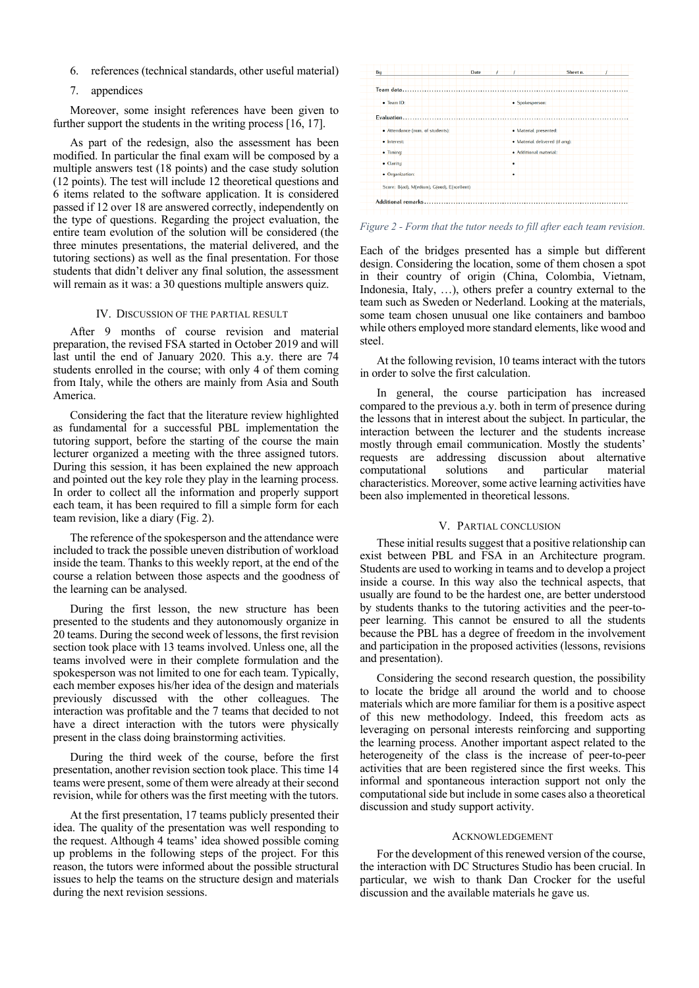- 6. references (technical standards, other useful material)
- 7. appendices

Moreover, some insight references have been given to further support the students in the writing process [16, 17].

As part of the redesign, also the assessment has been modified. In particular the final exam will be composed by a multiple answers test (18 points) and the case study solution (12 points). The test will include 12 theoretical questions and 6 items related to the software application. It is considered passed if 12 over 18 are answered correctly, independently on the type of questions. Regarding the project evaluation, the entire team evolution of the solution will be considered (the three minutes presentations, the material delivered, and the tutoring sections) as well as the final presentation. For those students that didn't deliver any final solution, the assessment will remain as it was: a 30 questions multiple answers quiz.

# IV. DISCUSSION OF THE PARTIAL RESULT

After 9 months of course revision and material preparation, the revised FSA started in October 2019 and will last until the end of January 2020. This a.y. there are 74 students enrolled in the course; with only 4 of them coming from Italy, while the others are mainly from Asia and South America.

Considering the fact that the literature review highlighted as fundamental for a successful PBL implementation the tutoring support, before the starting of the course the main lecturer organized a meeting with the three assigned tutors. During this session, it has been explained the new approach and pointed out the key role they play in the learning process. In order to collect all the information and properly support each team, it has been required to fill a simple form for each team revision, like a diary (Fig. 2).

The reference of the spokesperson and the attendance were included to track the possible uneven distribution of workload inside the team. Thanks to this weekly report, at the end of the course a relation between those aspects and the goodness of the learning can be analysed.

During the first lesson, the new structure has been presented to the students and they autonomously organize in 20 teams. During the second week of lessons, the first revision section took place with 13 teams involved. Unless one, all the teams involved were in their complete formulation and the spokesperson was not limited to one for each team. Typically, each member exposes his/her idea of the design and materials previously discussed with the other colleagues. The interaction was profitable and the 7 teams that decided to not have a direct interaction with the tutors were physically present in the class doing brainstorming activities.

During the third week of the course, before the first presentation, another revision section took place. This time 14 teams were present, some of them were already at their second revision, while for others was the first meeting with the tutors.

At the first presentation, 17 teams publicly presented their idea. The quality of the presentation was well responding to the request. Although 4 teams' idea showed possible coming up problems in the following steps of the project. For this reason, the tutors were informed about the possible structural issues to help the teams on the structure design and materials during the next revision sessions.



*Figure 2 - Form that the tutor needs to fill after each team revision.*

Each of the bridges presented has a simple but different design. Considering the location, some of them chosen a spot in their country of origin (China, Colombia, Vietnam, Indonesia, Italy, …), others prefer a country external to the team such as Sweden or Nederland. Looking at the materials, some team chosen unusual one like containers and bamboo while others employed more standard elements, like wood and steel.

At the following revision, 10 teams interact with the tutors in order to solve the first calculation.

In general, the course participation has increased compared to the previous a.y. both in term of presence during the lessons that in interest about the subject. In particular, the interaction between the lecturer and the students increase mostly through email communication. Mostly the students' requests are addressing discussion about alternative computational solutions and particular material characteristics. Moreover, some active learning activities have been also implemented in theoretical lessons.

# V. PARTIAL CONCLUSION

These initial results suggest that a positive relationship can exist between PBL and FSA in an Architecture program. Students are used to working in teams and to develop a project inside a course. In this way also the technical aspects, that usually are found to be the hardest one, are better understood by students thanks to the tutoring activities and the peer-topeer learning. This cannot be ensured to all the students because the PBL has a degree of freedom in the involvement and participation in the proposed activities (lessons, revisions and presentation).

Considering the second research question, the possibility to locate the bridge all around the world and to choose materials which are more familiar for them is a positive aspect of this new methodology. Indeed, this freedom acts as leveraging on personal interests reinforcing and supporting the learning process. Another important aspect related to the heterogeneity of the class is the increase of peer-to-peer activities that are been registered since the first weeks. This informal and spontaneous interaction support not only the computational side but include in some cases also a theoretical discussion and study support activity.

#### ACKNOWLEDGEMENT

For the development of this renewed version of the course, the interaction with DC Structures Studio has been crucial. In particular, we wish to thank Dan Crocker for the useful discussion and the available materials he gave us.